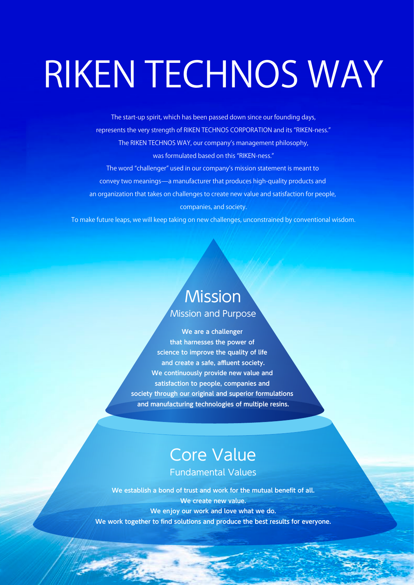# RIKEN TECHNOS WAY

The start-up spirit, which has been passed down since our founding days, represents the very strength of RIKEN TECHNOS CORPORATION and its "RIKEN-ness." The RIKEN TECHNOS WAY, our company's management philosophy, was formulated based on this "RIKEN-ness." The word "challenger" used in our company's mission statement is meant to convey two meanings̶a manufacturer that produces high-quality products and an organization that takes on challenges to create new value and satisfaction for people, companies, and society.

To make future leaps, we will keep taking on new challenges, unconstrained by conventional wisdom.

## **Mission**

Mission and Purpose

**We are a challenger that harnesses the power of science to improve the quality of life and create a safe, affluent society. We continuously provide new value and satisfaction to people, companies and society through our original and superior formulations and manufacturing technologies of multiple resins.**

### Core Value Fundamental Values

### **We establish a bond of trust and work for the mutual benefit of all. We create new value. We enjoy our work and love what we do. We work together to find solutions and produce the best results for everyone.**